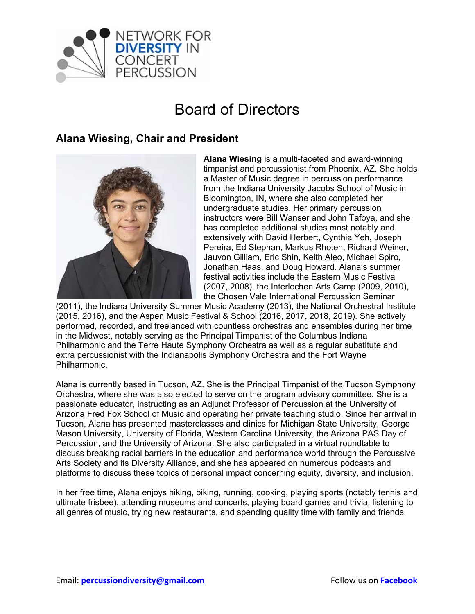

# Board of Directors

#### **Alana Wiesing, Chair and President**



**Alana Wiesing** is a multi-faceted and award-winning timpanist and percussionist from Phoenix, AZ. She holds a Master of Music degree in percussion performance from the Indiana University Jacobs School of Music in Bloomington, IN, where she also completed her undergraduate studies. Her primary percussion instructors were Bill Wanser and John Tafoya, and she has completed additional studies most notably and extensively with David Herbert, Cynthia Yeh, Joseph Pereira, Ed Stephan, Markus Rhoten, Richard Weiner, Jauvon Gilliam, Eric Shin, Keith Aleo, Michael Spiro, Jonathan Haas, and Doug Howard. Alana's summer festival activities include the Eastern Music Festival (2007, 2008), the Interlochen Arts Camp (2009, 2010), the Chosen Vale International Percussion Seminar

(2011), the Indiana University Summer Music Academy (2013), the National Orchestral Institute (2015, 2016), and the Aspen Music Festival & School (2016, 2017, 2018, 2019). She actively performed, recorded, and freelanced with countless orchestras and ensembles during her time in the Midwest, notably serving as the Principal Timpanist of the Columbus Indiana Philharmonic and the Terre Haute Symphony Orchestra as well as a regular substitute and extra percussionist with the Indianapolis Symphony Orchestra and the Fort Wayne Philharmonic.

Alana is currently based in Tucson, AZ. She is the Principal Timpanist of the Tucson Symphony Orchestra, where she was also elected to serve on the program advisory committee. She is a passionate educator, instructing as an Adjunct Professor of Percussion at the University of Arizona Fred Fox School of Music and operating her private teaching studio. Since her arrival in Tucson, Alana has presented masterclasses and clinics for Michigan State University, George Mason University, University of Florida, Western Carolina University, the Arizona PAS Day of Percussion, and the University of Arizona. She also participated in a virtual roundtable to discuss breaking racial barriers in the education and performance world through the Percussive Arts Society and its Diversity Alliance, and she has appeared on numerous podcasts and platforms to discuss these topics of personal impact concerning equity, diversity, and inclusion.

In her free time, Alana enjoys hiking, biking, running, cooking, playing sports (notably tennis and ultimate frisbee), attending museums and concerts, playing board games and trivia, listening to all genres of music, trying new restaurants, and spending quality time with family and friends.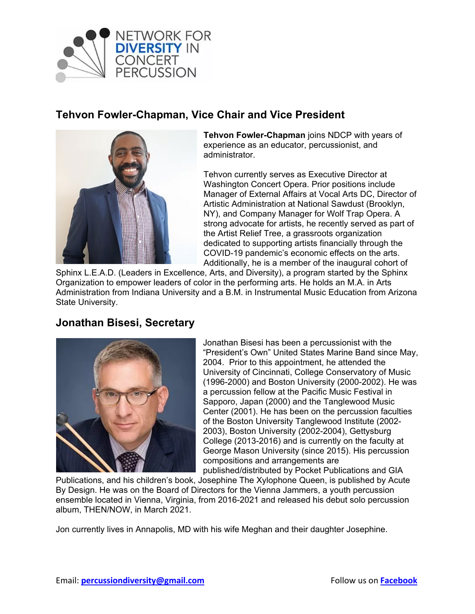

## **Tehvon Fowler-Chapman, Vice Chair and Vice President**



**Tehvon Fowler-Chapman** joins NDCP with years of experience as an educator, percussionist, and administrator.

Tehvon currently serves as Executive Director at Washington Concert Opera. Prior positions include Manager of External Affairs at Vocal Arts DC, Director of Artistic Administration at National Sawdust (Brooklyn, NY), and Company Manager for Wolf Trap Opera. A strong advocate for artists, he recently served as part of the Artist Relief Tree, a grassroots organization dedicated to supporting artists financially through the COVID-19 pandemic's economic effects on the arts. Additionally, he is a member of the inaugural cohort of

Sphinx L.E.A.D. (Leaders in Excellence, Arts, and Diversity), a program started by the Sphinx Organization to empower leaders of color in the performing arts. He holds an M.A. in Arts Administration from Indiana University and a B.M. in Instrumental Music Education from Arizona State University.

## **Jonathan Bisesi, Secretary**



Jonathan Bisesi has been a percussionist with the "President's Own" United States Marine Band since May, 2004. Prior to this appointment, he attended the University of Cincinnati, College Conservatory of Music (1996-2000) and Boston University (2000-2002). He was a percussion fellow at the Pacific Music Festival in Sapporo, Japan (2000) and the Tanglewood Music Center (2001). He has been on the percussion faculties of the Boston University Tanglewood Institute (2002- 2003), Boston University (2002-2004), Gettysburg College (2013-2016) and is currently on the faculty at George Mason University (since 2015). His percussion compositions and arrangements are published/distributed by Pocket Publications and GIA

Publications, and his children's book, Josephine The Xylophone Queen, is published by Acute By Design. He was on the Board of Directors for the Vienna Jammers, a youth percussion ensemble located in Vienna, Virginia, from 2016-2021 and released his debut solo percussion album, THEN/NOW, in March 2021.

Jon currently lives in Annapolis, MD with his wife Meghan and their daughter Josephine.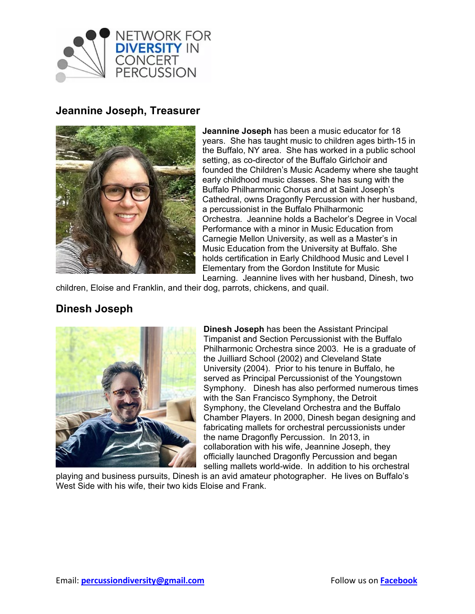

#### **Jeannine Joseph, Treasurer**



**Jeannine Joseph** has been a music educator for 18 years. She has taught music to children ages birth-15 in the Buffalo, NY area. She has worked in a public school setting, as co-director of the Buffalo Girlchoir and founded the Children's Music Academy where she taught early childhood music classes. She has sung with the Buffalo Philharmonic Chorus and at Saint Joseph's Cathedral, owns Dragonfly Percussion with her husband, a percussionist in the Buffalo Philharmonic Orchestra. Jeannine holds a Bachelor's Degree in Vocal Performance with a minor in Music Education from Carnegie Mellon University, as well as a Master's in Music Education from the University at Buffalo. She holds certification in Early Childhood Music and Level I Elementary from the Gordon Institute for Music Learning. Jeannine lives with her husband, Dinesh, two

children, Eloise and Franklin, and their dog, parrots, chickens, and quail.

## **Dinesh Joseph**



**Dinesh Joseph** has been the Assistant Principal Timpanist and Section Percussionist with the Buffalo Philharmonic Orchestra since 2003. He is a graduate of the Juilliard School (2002) and Cleveland State University (2004). Prior to his tenure in Buffalo, he served as Principal Percussionist of the Youngstown Symphony. Dinesh has also performed numerous times with the San Francisco Symphony, the Detroit Symphony, the Cleveland Orchestra and the Buffalo Chamber Players. In 2000, Dinesh began designing and fabricating mallets for orchestral percussionists under the name Dragonfly Percussion. In 2013, in collaboration with his wife, Jeannine Joseph, they officially launched Dragonfly Percussion and began selling mallets world-wide. In addition to his orchestral

playing and business pursuits, Dinesh is an avid amateur photographer. He lives on Buffalo's West Side with his wife, their two kids Eloise and Frank.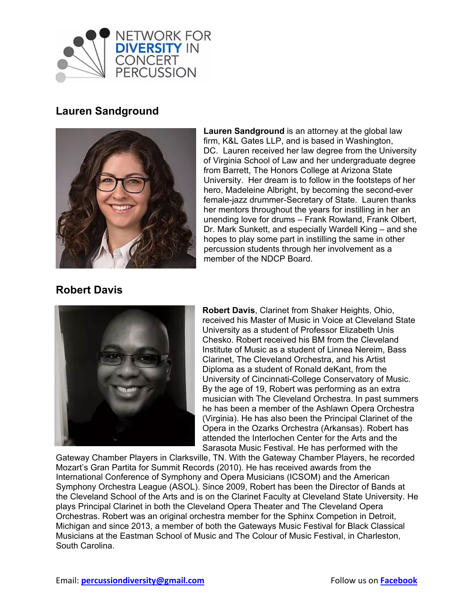

# **Lauren Sandground**



**Lauren Sandground** is an attorney at the global law firm, K&L Gates LLP, and is based in Washington, DC. Lauren received her law degree from the University of Virginia School of Law and her undergraduate degree from Barrett, The Honors College at Arizona State University. Her dream is to follow in the footsteps of her hero, Madeleine Albright, by becoming the second-ever female-jazz drummer-Secretary of State. Lauren thanks her mentors throughout the years for instilling in her an unending love for drums – Frank Rowland, Frank Olbert, Dr. Mark Sunkett, and especially Wardell King – and she hopes to play some part in instilling the same in other percussion students through her involvement as a member of the NDCP Board.

## **Robert Davis**



**Robert Davis**, Clarinet from Shaker Heights, Ohio, received his Master of Music in Voice at Cleveland State University as a student of Professor Elizabeth Unis Chesko. Robert received his BM from the Cleveland Institute of Music as a student of Linnea Nereim, Bass Clarinet, The Cleveland Orchestra, and his Artist Diploma as a student of Ronald deKant, from the University of Cincinnati-College Conservatory of Music. By the age of 19, Robert was performing as an extra musician with The Cleveland Orchestra. In past summers he has been a member of the Ashlawn Opera Orchestra (Virginia). He has also been the Principal Clarinet of the Opera in the Ozarks Orchestra (Arkansas). Robert has attended the Interlochen Center for the Arts and the Sarasota Music Festival. He has performed with the

Gateway Chamber Players in Clarksville, TN. With the Gateway Chamber Players, he recorded Mozart's Gran Partita for Summit Records (2010). He has received awards from the International Conference of Symphony and Opera Musicians (ICSOM) and the American Symphony Orchestra League (ASOL). Since 2009, Robert has been the Director of Bands at the Cleveland School of the Arts and is on the Clarinet Faculty at Cleveland State University. He plays Principal Clarinet in both the Cleveland Opera Theater and The Cleveland Opera Orchestras. Robert was an original orchestra member for the Sphinx Competion in Detroit, Michigan and since 2013, a member of both the Gateways Music Festival for Black Classical Musicians at the Eastman School of Music and The Colour of Music Festival, in Charleston, South Carolina.